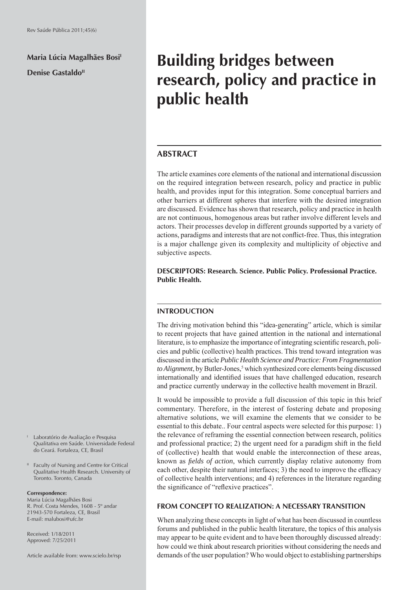# **Maria Lúcia Magalhães Bosi' Denise Gastaldo<sup>II</sup>**

# **Building bridges between research, policy and practice in public health**

## **ABSTRACT**

The article examines core elements of the national and international discussion on the required integration between research, policy and practice in public health, and provides input for this integration. Some conceptual barriers and other barriers at different spheres that interfere with the desired integration are discussed. Evidence has shown that research, policy and practice in health are not continuous, homogenous areas but rather involve different levels and actors. Their processes develop in different grounds supported by a variety of actions, paradigms and interests that are not conflict-free. Thus, this integration is a major challenge given its complexity and multiplicity of objective and subjective aspects.

**DESCRIPTORS: Research. Science. Public Policy. Professional Practice. Public Health.**

#### **INTRODUCTION**

The driving motivation behind this "idea-generating" article, which is similar to recent projects that have gained attention in the national and international literature, is to emphasize the importance of integrating scientific research, policies and public (collective) health practices. This trend toward integration was discussed in the article *Public Health Science and Practice: From Fragmentation*  to Alignment, by Butler-Jones,<sup>5</sup> which synthesized core elements being discussed internationally and identified issues that have challenged education, research and practice currently underway in the collective health movement in Brazil.

It would be impossible to provide a full discussion of this topic in this brief commentary. Therefore, in the interest of fostering debate and proposing alternative solutions, we will examine the elements that we consider to be essential to this debate.. Four central aspects were selected for this purpose: 1) the relevance of reframing the essential connection between research, politics and professional practice; 2) the urgent need for a paradigm shift in the field of (collective) health that would enable the interconnection of these areas, known as *fields of action*, which currently display relative autonomy from each other, despite their natural interfaces; 3) the need to improve the efficacy of collective health interventions; and 4) references in the literature regarding the significance of "reflexive practices".

## **FROM CONCEPT TO REALIZATION: A NECESSARY TRANSITION**

When analyzing these concepts in light of what has been discussed in countless forums and published in the public health literature, the topics of this analysis may appear to be quite evident and to have been thoroughly discussed already: how could we think about research priorities without considering the needs and demands of the user population? Who would object to establishing partnerships

- I Laboratório de Avaliação e Pesquisa Qualitativa em Saúde. Universidade Federal do Ceará. Fortaleza, CE, Brasil
- <sup>11</sup> Faculty of Nursing and Centre for Critical Qualitative Health Research. University of Toronto. Toronto, Canada

#### **Correspondence:**

Maria Lúcia Magalhães Bosi R. Prof. Costa Mendes, 1608 - 5º andar 21943-570 Fortaleza, CE, Brasil E-mail: malubosi@ufc.br

Received: 1/18/2011 Approved: 7/25/2011

Article available from: www.scielo.br/rsp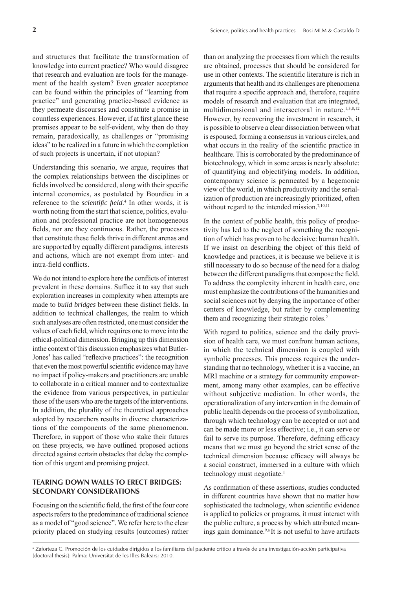and structures that facilitate the transformation of knowledge into current practice? Who would disagree that research and evaluation are tools for the management of the health system? Even greater acceptance can be found within the principles of "learning from practice" and generating practice-based evidence as they permeate discourses and constitute a promise in countless experiences. However, if at first glance these premises appear to be self-evident, why then do they remain, paradoxically, as challenges or "promising ideas" to be realized in a future in which the completion of such projects is uncertain, if not utopian?

Understanding this scenario, we argue, requires that the complex relationships between the disciplines or fields involved be considered, along with their specific internal economies, as postulated by Bourdieu in a reference to the *scientific field*.<sup>4</sup> In other words, it is worth noting from the start that science, politics, evaluation and professional practice are not homogeneous fields, nor are they continuous. Rather, the processes that constitute these fields thrive in different arenas and are supported by equally different paradigms, interests and actions, which are not exempt from inter- and intra-field conflicts.

We do not intend to explore here the conflicts of interest prevalent in these domains. Suffice it to say that such exploration increases in complexity when attempts are made to *build bridges* between these distinct fields. In addition to technical challenges, the realm to which such analyses are often restricted, one must consider the values of each field, which requires one to move into the ethical-political dimension. Bringing up this dimension inthe context of this discussion emphasizes what Butler-Jones<sup>5</sup> has called "reflexive practices": the recognition that even the most powerful scientific evidence may have no impact if policy-makers and practitioners are unable to collaborate in a critical manner and to contextualize the evidence from various perspectives, in particular those of the users who are the targets of the interventions. In addition, the plurality of the theoretical approaches adopted by researchers results in diverse characterizations of the components of the same phenomenon. Therefore, in support of those who stake their futures on these projects, we have outlined proposed actions directed against certain obstacles that delay the completion of this urgent and promising project.

#### **TEARING DOWN WALLS TO ERECT BRIDGES: SECONDARY CONSIDERATIONS**

Focusing on the scientific field, the first of the four core aspects refers to the predominance of traditional science as a model of "good science". We refer here to the clear priority placed on studying results (outcomes) rather

than on analyzing the processes from which the results are obtained, processes that should be considered for use in other contexts. The scientific literature is rich in arguments that health and its challenges are phenomena that require a specific approach and, therefore, require models of research and evaluation that are integrated, multidimensional and intersectoral in nature.<sup>1,3,8,12</sup> However, by recovering the investment in research, it is possible to observe a clear dissociation between what is espoused, forming a consensus in various circles, and what occurs in the reality of the scientific practice in healthcare. This is corroborated by the predominance of biotechnology, which in some areas is nearly absolute: of quantifying and objectifying models. In addition, contemporary science is permeated by a hegemonic view of the world, in which productivity and the serialization of production are increasingly prioritized, often without regard to the intended mission.<sup>7,10,11</sup>

In the context of public health, this policy of productivity has led to the neglect of something the recognition of which has proven to be decisive: human health. If we insist on describing the object of this field of knowledge and practices, it is because we believe it is still necessary to do so because of the need for a dialog between the different paradigms that compose the field. To address the complexity inherent in health care, one must emphasize the contributions of the humanities and social sciences not by denying the importance of other centers of knowledge, but rather by complementing them and recognizing their strategic roles.<sup>2</sup>

With regard to politics, science and the daily provision of health care, we must confront human actions, in which the technical dimension is coupled with symbolic processes. This process requires the understanding that no technology, whether it is a vaccine, an MRI machine or a strategy for community empowerment, among many other examples, can be effective without subjective mediation. In other words, the operationalization of any intervention in the domain of public health depends on the process of symbolization, through which technology can be accepted or not and can be made more or less effective; i.e., it can serve or fail to serve its purpose. Therefore, defining efficacy means that we must go beyond the strict sense of the technical dimension because efficacy will always be a social construct, immersed in a culture with which technology must negotiate.<sup>1</sup>

As confirmation of these assertions, studies conducted in different countries have shown that no matter how sophisticated the technology, when scientific evidence is applied to policies or programs, it must interact with the public culture, a process by which attributed meanings gain dominance.9,a It is not useful to have artifacts

a Zaforteza C. Promoción de los cuidados dirigidos a los familiares del paciente crítico a través de una investigación-acción participativa [doctoral thesis]: Palma: Universitat de les Illes Balears; 2010.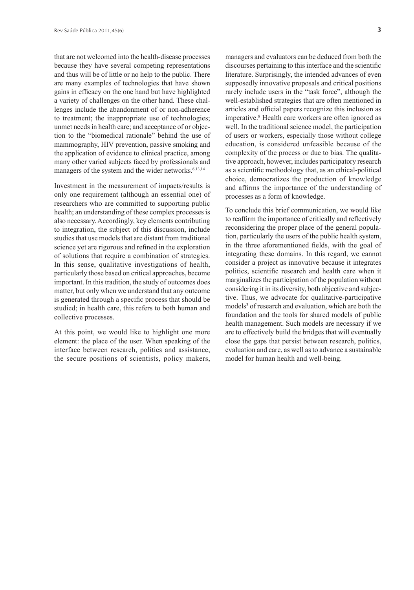that are not welcomed into the health-disease processes because they have several competing representations and thus will be of little or no help to the public. There are many examples of technologies that have shown gains in efficacy on the one hand but have highlighted a variety of challenges on the other hand. These challenges include the abandonment of or non-adherence to treatment; the inappropriate use of technologies; unmet needs in health care; and acceptance of or objection to the "biomedical rationale" behind the use of mammography, HIV prevention, passive smoking and the application of evidence to clinical practice, among many other varied subjects faced by professionals and managers of the system and the wider networks.<sup>6,13,14</sup>

Investment in the measurement of impacts/results is only one requirement (although an essential one) of researchers who are committed to supporting public health; an understanding of these complex processes is also necessary. Accordingly, key elements contributing to integration, the subject of this discussion, include studies that use models that are distant from traditional science yet are rigorous and refined in the exploration of solutions that require a combination of strategies. In this sense, qualitative investigations of health, particularly those based on critical approaches, become important. In this tradition, the study of outcomes does matter, but only when we understand that any outcome is generated through a specific process that should be studied; in health care, this refers to both human and collective processes.

At this point, we would like to highlight one more element: the place of the user. When speaking of the interface between research, politics and assistance, the secure positions of scientists, policy makers,

managers and evaluators can be deduced from both the discourses pertaining to this interface and the scientific literature. Surprisingly, the intended advances of even supposedly innovative proposals and critical positions rarely include users in the "task force", although the well-established strategies that are often mentioned in articles and official papers recognize this inclusion as imperative.8 Health care workers are often ignored as well. In the traditional science model, the participation of users or workers, especially those without college education, is considered unfeasible because of the complexity of the process or due to bias. The qualitative approach, however, includes participatory research as a scientific methodology that, as an ethical-political choice, democratizes the production of knowledge and affirms the importance of the understanding of processes as a form of knowledge.

To conclude this brief communication, we would like to reaffirm the importance of critically and reflectively reconsidering the proper place of the general population, particularly the users of the public health system, in the three aforementioned fields, with the goal of integrating these domains. In this regard, we cannot consider a project as innovative because it integrates politics, scientific research and health care when it marginalizes the participation of the population without considering it in its diversity, both objective and subjective. Thus, we advocate for qualitative-participative models<sup>3</sup> of research and evaluation, which are both the foundation and the tools for shared models of public health management. Such models are necessary if we are to effectively build the bridges that will eventually close the gaps that persist between research, politics, evaluation and care, as well as to advance a sustainable model for human health and well-being.